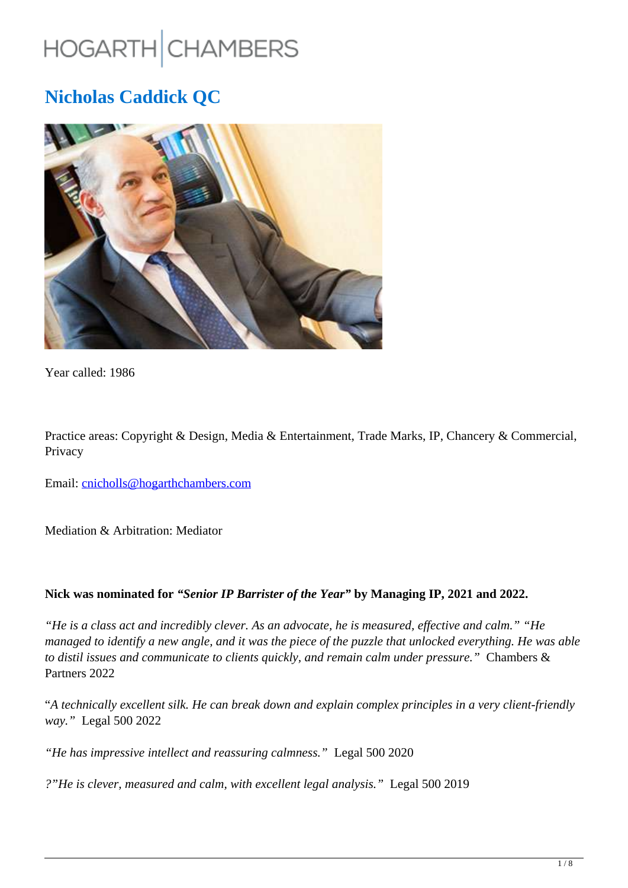# HOGARTH CHAMBERS

## **Nicholas Caddick QC**



Year called: 1986

Practice areas: Copyright & Design, Media & Entertainment, Trade Marks, IP, Chancery & Commercial, Privacy

Email: cnicholls@hogarthchambers.com

Mediation & Arbitration: Mediator

#### **Nick was nominated for** *"Senior IP Barrister of the Year"* **by Managing IP, 2021 and 2022.**

*"He is a class act and incredibly clever. As an advocate, he is measured, effective and calm." "He managed to identify a new angle, and it was the piece of the puzzle that unlocked everything. He was able to distil issues and communicate to clients quickly, and remain calm under pressure."* Chambers & Partners 2022

"*A technically excellent silk. He can break down and explain complex principles in a very client-friendly way."* Legal 500 2022

*"He has impressive intellect and reassuring calmness."* Legal 500 2020

*?"He is clever, measured and calm, with excellent legal analysis."* Legal 500 2019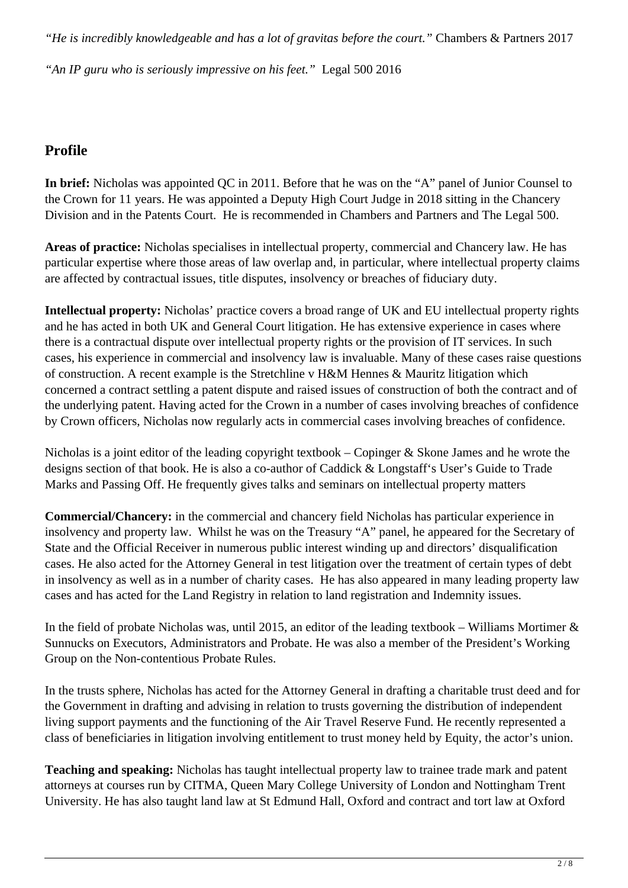*"He is incredibly knowledgeable and has a lot of gravitas before the court."* Chambers & Partners 2017

*"An IP guru who is seriously impressive on his feet."* Legal 500 2016

## **Profile**

**In brief:** Nicholas was appointed QC in 2011. Before that he was on the "A" panel of Junior Counsel to the Crown for 11 years. He was appointed a Deputy High Court Judge in 2018 sitting in the Chancery Division and in the Patents Court. He is recommended in Chambers and Partners and The Legal 500.

**Areas of practice:** Nicholas specialises in intellectual property, commercial and Chancery law. He has particular expertise where those areas of law overlap and, in particular, where intellectual property claims are affected by contractual issues, title disputes, insolvency or breaches of fiduciary duty.

**Intellectual property:** Nicholas' practice covers a broad range of UK and EU intellectual property rights and he has acted in both UK and General Court litigation. He has extensive experience in cases where there is a contractual dispute over intellectual property rights or the provision of IT services. In such cases, his experience in commercial and insolvency law is invaluable. Many of these cases raise questions of construction. A recent example is the Stretchline v H&M Hennes & Mauritz litigation which concerned a contract settling a patent dispute and raised issues of construction of both the contract and of the underlying patent. Having acted for the Crown in a number of cases involving breaches of confidence by Crown officers, Nicholas now regularly acts in commercial cases involving breaches of confidence.

Nicholas is a joint editor of the leading copyright textbook – Copinger & Skone James and he wrote the designs section of that book. He is also a co-author of Caddick & Longstaff's User's Guide to Trade Marks and Passing Off. He frequently gives talks and seminars on intellectual property matters

**Commercial/Chancery:** in the commercial and chancery field Nicholas has particular experience in insolvency and property law. Whilst he was on the Treasury "A" panel, he appeared for the Secretary of State and the Official Receiver in numerous public interest winding up and directors' disqualification cases. He also acted for the Attorney General in test litigation over the treatment of certain types of debt in insolvency as well as in a number of charity cases. He has also appeared in many leading property law cases and has acted for the Land Registry in relation to land registration and Indemnity issues.

In the field of probate Nicholas was, until 2015, an editor of the leading textbook – Williams Mortimer  $\&$ Sunnucks on Executors, Administrators and Probate. He was also a member of the President's Working Group on the Non-contentious Probate Rules.

In the trusts sphere, Nicholas has acted for the Attorney General in drafting a charitable trust deed and for the Government in drafting and advising in relation to trusts governing the distribution of independent living support payments and the functioning of the Air Travel Reserve Fund. He recently represented a class of beneficiaries in litigation involving entitlement to trust money held by Equity, the actor's union.

**Teaching and speaking:** Nicholas has taught intellectual property law to trainee trade mark and patent attorneys at courses run by CITMA, Queen Mary College University of London and Nottingham Trent University. He has also taught land law at St Edmund Hall, Oxford and contract and tort law at Oxford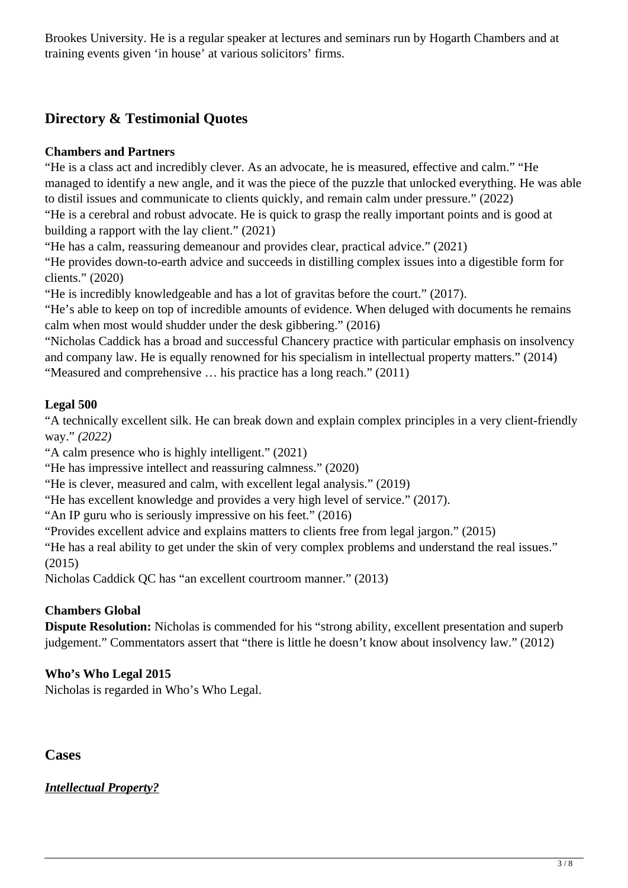Brookes University. He is a regular speaker at lectures and seminars run by Hogarth Chambers and at training events given 'in house' at various solicitors' firms.

## **Directory & Testimonial Quotes**

#### **Chambers and Partners**

"He is a class act and incredibly clever. As an advocate, he is measured, effective and calm." "He managed to identify a new angle, and it was the piece of the puzzle that unlocked everything. He was able to distil issues and communicate to clients quickly, and remain calm under pressure." (2022) "He is a cerebral and robust advocate. He is quick to grasp the really important points and is good at building a rapport with the lay client." (2021)

"He has a calm, reassuring demeanour and provides clear, practical advice." (2021)

"He provides down-to-earth advice and succeeds in distilling complex issues into a digestible form for clients." (2020)

"He is incredibly knowledgeable and has a lot of gravitas before the court." (2017).

"He's able to keep on top of incredible amounts of evidence. When deluged with documents he remains calm when most would shudder under the desk gibbering." (2016)

"Nicholas Caddick has a broad and successful Chancery practice with particular emphasis on insolvency and company law. He is equally renowned for his specialism in intellectual property matters." (2014) "Measured and comprehensive … his practice has a long reach." (2011)

#### **Legal 500**

"A technically excellent silk. He can break down and explain complex principles in a very client-friendly way." *(2022)*

"A calm presence who is highly intelligent." (2021)

"He has impressive intellect and reassuring calmness." (2020)

"He is clever, measured and calm, with excellent legal analysis." (2019)

"He has excellent knowledge and provides a very high level of service." (2017).

"An IP guru who is seriously impressive on his feet." (2016)

"Provides excellent advice and explains matters to clients free from legal jargon." (2015)

"He has a real ability to get under the skin of very complex problems and understand the real issues." (2015)

Nicholas Caddick QC has "an excellent courtroom manner." (2013)

#### **Chambers Global**

**Dispute Resolution:** Nicholas is commended for his "strong ability, excellent presentation and superb judgement." Commentators assert that "there is little he doesn't know about insolvency law." (2012)

#### **Who's Who Legal 2015**

Nicholas is regarded in Who's Who Legal.

**Cases**

*Intellectual Property?*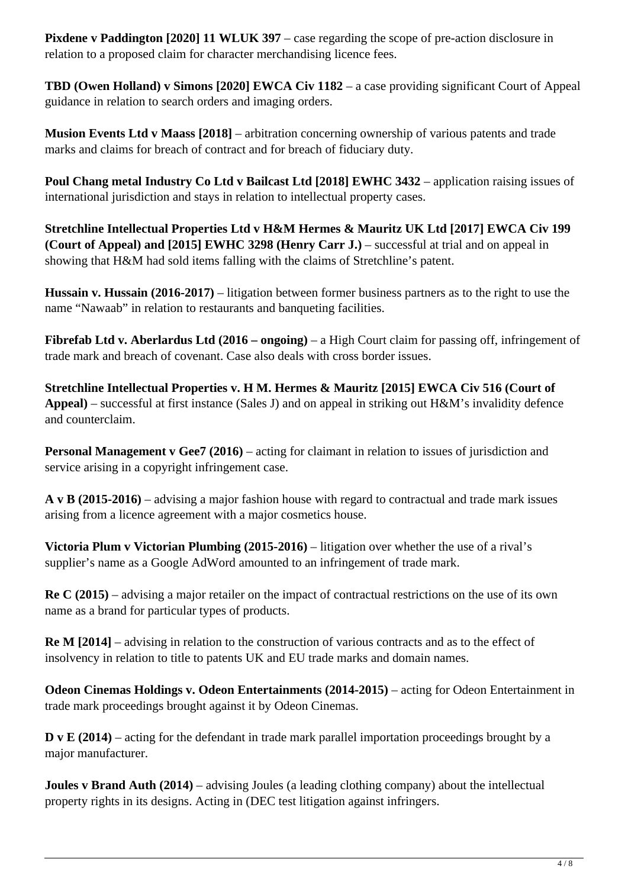**Pixdene v Paddington [2020] 11 WLUK 397** – case regarding the scope of pre-action disclosure in relation to a proposed claim for character merchandising licence fees.

**TBD (Owen Holland) v Simons [2020] EWCA Civ 1182** – a case providing significant Court of Appeal guidance in relation to search orders and imaging orders.

**Musion Events Ltd v Maass [2018]** – arbitration concerning ownership of various patents and trade marks and claims for breach of contract and for breach of fiduciary duty.

**Poul Chang metal Industry Co Ltd v Bailcast Ltd [2018] EWHC 3432** – application raising issues of international jurisdiction and stays in relation to intellectual property cases.

**Stretchline Intellectual Properties Ltd v H&M Hermes & Mauritz UK Ltd [2017] EWCA Civ 199 (Court of Appeal) and [2015] EWHC 3298 (Henry Carr J.)** – successful at trial and on appeal in showing that H&M had sold items falling with the claims of Stretchline's patent.

**Hussain v. Hussain (2016-2017)** – litigation between former business partners as to the right to use the name "Nawaab" in relation to restaurants and banqueting facilities.

**Fibrefab Ltd v. Aberlardus Ltd (2016 – ongoing)** – a High Court claim for passing off, infringement of trade mark and breach of covenant. Case also deals with cross border issues.

**Stretchline Intellectual Properties v. H M. Hermes & Mauritz [2015] EWCA Civ 516 (Court of Appeal)** – successful at first instance (Sales J) and on appeal in striking out H&M's invalidity defence and counterclaim.

**Personal Management v Gee7 (2016)** – acting for claimant in relation to issues of jurisdiction and service arising in a copyright infringement case.

**A v B (2015-2016)** – advising a major fashion house with regard to contractual and trade mark issues arising from a licence agreement with a major cosmetics house.

**Victoria Plum v Victorian Plumbing (2015-2016)** – litigation over whether the use of a rival's supplier's name as a Google AdWord amounted to an infringement of trade mark.

**Re C (2015)** – advising a major retailer on the impact of contractual restrictions on the use of its own name as a brand for particular types of products.

**Re M [2014]** – advising in relation to the construction of various contracts and as to the effect of insolvency in relation to title to patents UK and EU trade marks and domain names.

**Odeon Cinemas Holdings v. Odeon Entertainments (2014-2015)** – acting for Odeon Entertainment in trade mark proceedings brought against it by Odeon Cinemas.

**D** v **E** (2014) – acting for the defendant in trade mark parallel importation proceedings brought by a major manufacturer.

**Joules v Brand Auth (2014)** – advising Joules (a leading clothing company) about the intellectual property rights in its designs. Acting in (DEC test litigation against infringers.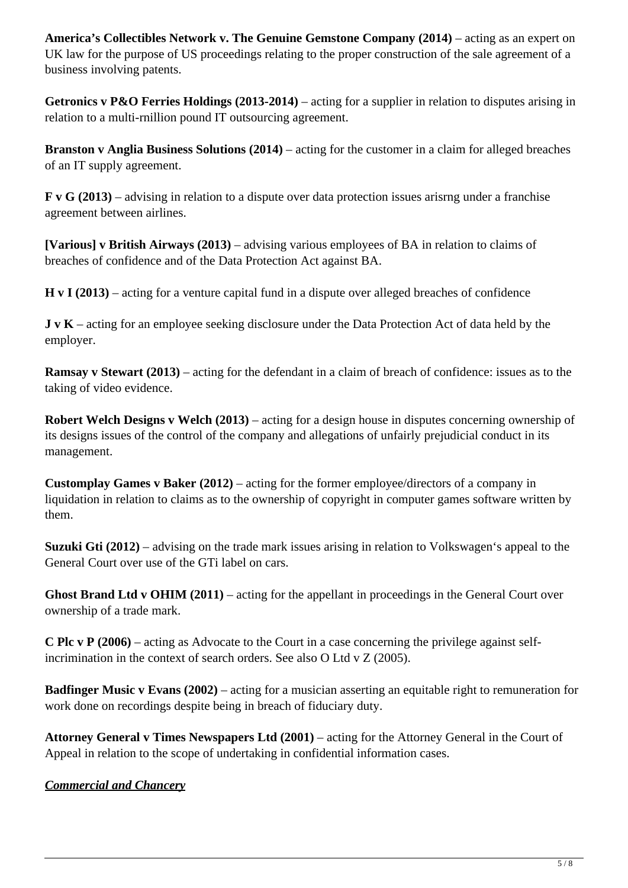**America's Collectibles Network v. The Genuine Gemstone Company (2014)** – acting as an expert on UK law for the purpose of US proceedings relating to the proper construction of the sale agreement of a business involving patents.

**Getronics v P&O Ferries Holdings (2013-2014)** – acting for a supplier in relation to disputes arising in relation to a multi-rnillion pound IT outsourcing agreement.

**Branston v Anglia Business Solutions (2014)** – acting for the customer in a claim for alleged breaches of an IT supply agreement.

**F v G (2013)** – advising in relation to a dispute over data protection issues arisrng under a franchise agreement between airlines.

**[Various] v British Airways (2013)** – advising various employees of BA in relation to claims of breaches of confidence and of the Data Protection Act against BA.

**H v I (2013)** – acting for a venture capital fund in a dispute over alleged breaches of confidence

**J v K** – acting for an employee seeking disclosure under the Data Protection Act of data held by the employer.

**Ramsay v Stewart (2013)** – acting for the defendant in a claim of breach of confidence: issues as to the taking of video evidence.

**Robert Welch Designs v Welch (2013)** – acting for a design house in disputes concerning ownership of its designs issues of the control of the company and allegations of unfairly prejudicial conduct in its management.

**Customplay Games v Baker (2012)** – acting for the former employee/directors of a company in liquidation in relation to claims as to the ownership of copyright in computer games software written by them.

**Suzuki Gti (2012)** – advising on the trade mark issues arising in relation to Volkswagen's appeal to the General Court over use of the GTi label on cars.

**Ghost Brand Ltd v OHIM (2011)** – acting for the appellant in proceedings in the General Court over ownership of a trade mark.

**C Plc v P (2006)** – acting as Advocate to the Court in a case concerning the privilege against selfincrimination in the context of search orders. See also O Ltd v Z (2005).

**Badfinger Music v Evans (2002)** – acting for a musician asserting an equitable right to remuneration for work done on recordings despite being in breach of fiduciary duty.

**Attorney General v Times Newspapers Ltd (2001)** – acting for the Attorney General in the Court of Appeal in relation to the scope of undertaking in confidential information cases.

*Commercial and Chancery*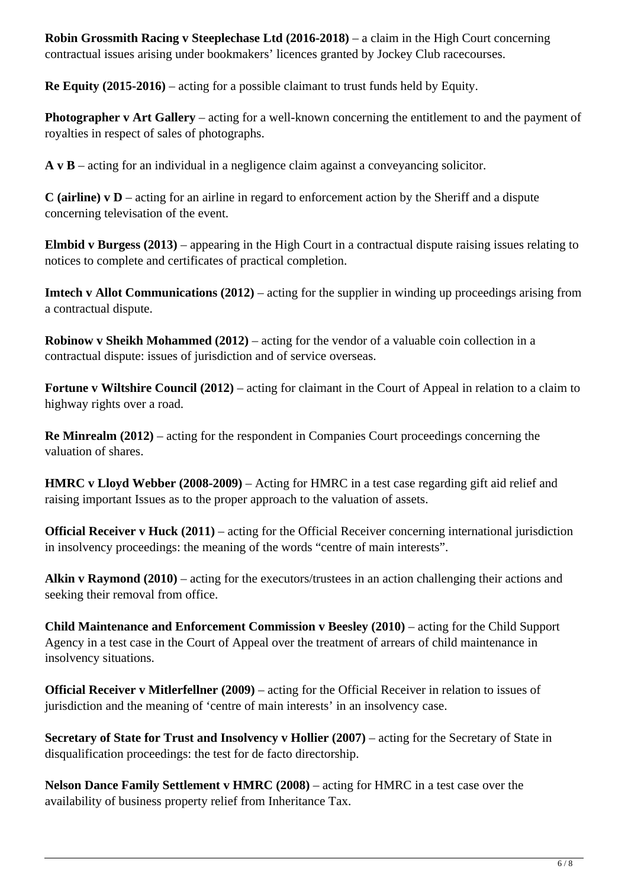**Robin Grossmith Racing v Steeplechase Ltd (2016-2018)** – a claim in the High Court concerning contractual issues arising under bookmakers' licences granted by Jockey Club racecourses.

**Re Equity (2015-2016)** – acting for a possible claimant to trust funds held by Equity.

**Photographer v Art Gallery** – acting for a well-known concerning the entitlement to and the payment of royalties in respect of sales of photographs.

**A v B** – acting for an individual in a negligence claim against a conveyancing solicitor.

**C (airline) v D** – acting for an airline in regard to enforcement action by the Sheriff and a dispute concerning televisation of the event.

**Elmbid v Burgess (2013)** – appearing in the High Court in a contractual dispute raising issues relating to notices to complete and certificates of practical completion.

**Imtech v Allot Communications (2012)** – acting for the supplier in winding up proceedings arising from a contractual dispute.

**Robinow v Sheikh Mohammed (2012)** – acting for the vendor of a valuable coin collection in a contractual dispute: issues of jurisdiction and of service overseas.

**Fortune v Wiltshire Council (2012)** – acting for claimant in the Court of Appeal in relation to a claim to highway rights over a road.

**Re Minrealm (2012)** – acting for the respondent in Companies Court proceedings concerning the valuation of shares.

**HMRC v Lloyd Webber (2008-2009)** – Acting for HMRC in a test case regarding gift aid relief and raising important Issues as to the proper approach to the valuation of assets.

**Official Receiver v Huck (2011)** – acting for the Official Receiver concerning international jurisdiction in insolvency proceedings: the meaning of the words "centre of main interests".

**Alkin v Raymond (2010)** – acting for the executors/trustees in an action challenging their actions and seeking their removal from office.

**Child Maintenance and Enforcement Commission v Beesley (2010)** – acting for the Child Support Agency in a test case in the Court of Appeal over the treatment of arrears of child maintenance in insolvency situations.

**Official Receiver v Mitlerfellner (2009)** – acting for the Official Receiver in relation to issues of jurisdiction and the meaning of 'centre of main interests' in an insolvency case.

**Secretary of State for Trust and Insolvency v Hollier (2007)** – acting for the Secretary of State in disqualification proceedings: the test for de facto directorship.

**Nelson Dance Family Settlement v HMRC (2008)** – acting for HMRC in a test case over the availability of business property relief from Inheritance Tax.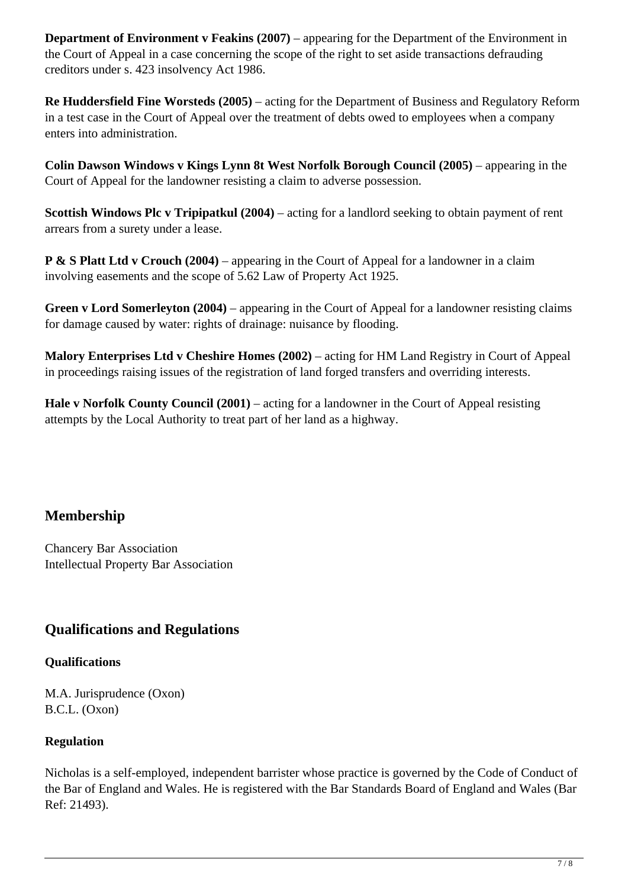**Department of Environment v Feakins (2007)** – appearing for the Department of the Environment in the Court of Appeal in a case concerning the scope of the right to set aside transactions defrauding creditors under s. 423 insolvency Act 1986.

**Re Huddersfield Fine Worsteds (2005)** – acting for the Department of Business and Regulatory Reform in a test case in the Court of Appeal over the treatment of debts owed to employees when a company enters into administration.

**Colin Dawson Windows v Kings Lynn 8t West Norfolk Borough Council (2005)** – appearing in the Court of Appeal for the landowner resisting a claim to adverse possession.

**Scottish Windows Plc v Tripipatkul (2004)** – acting for a landlord seeking to obtain payment of rent arrears from a surety under a lease.

**P & S Platt Ltd v Crouch (2004)** – appearing in the Court of Appeal for a landowner in a claim involving easements and the scope of 5.62 Law of Property Act 1925.

Green v Lord Somerleyton (2004) – appearing in the Court of Appeal for a landowner resisting claims for damage caused by water: rights of drainage: nuisance by flooding.

**Malory Enterprises Ltd v Cheshire Homes (2002)** – acting for HM Land Registry in Court of Appeal in proceedings raising issues of the registration of land forged transfers and overriding interests.

**Hale v Norfolk County Council (2001)** – acting for a landowner in the Court of Appeal resisting attempts by the Local Authority to treat part of her land as a highway.

## **Membership**

Chancery Bar Association Intellectual Property Bar Association

## **Qualifications and Regulations**

#### **Qualifications**

M.A. Jurisprudence (Oxon) B.C.L. (Oxon)

#### **Regulation**

Nicholas is a self-employed, independent barrister whose practice is governed by the Code of Conduct of the Bar of England and Wales. He is registered with the Bar Standards Board of England and Wales (Bar Ref: 21493).